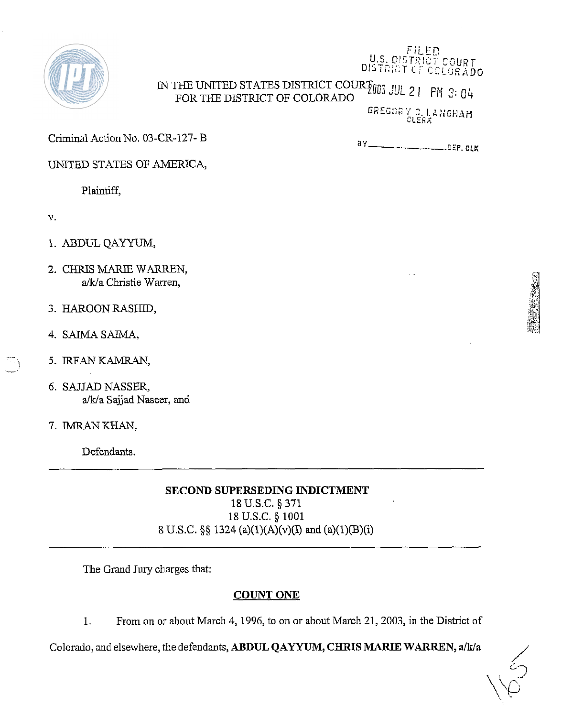

### DISTRICT CF COLORADO IN THE UNITED STATES DISTRICT COURT 00 JUL 21 PM 3: 04 FOR THE DISTRICT OF COLORADO

GREGORY C. LANGHAM

FILED U.S. DISTRICT COURT

Criminal Action No. 03-CR-127-B

UNITED STATES OF AMERICA,

Plaintiff,

v.

 $\rightarrow$ 

- 1. ABDUL **QAYYUM,**
- 2. CHRIS MARIE WARREN, a/k/a Christie Warren,
- 3. HAROON RASHID,
- 
- %4. SAIMA SAIMA,<br>5. IRFAN KAMRAN,
- 6. SAJJAD NASSER, a/k/a Sajjad Naseer, and
- 7. IMRAN KHAN,

Defendants.

**SECOND SUPERSEDING INDICTMENT** 

18 U.S.C. *5* 371 18 U.S.C. *5* 1001 8 U.S.C. *\$5* 1324 (a)(l)(A)(v)(I) and (a)(l)(B)(i)

The Grand Jury charges that:

### **COUNT ONE**

1. From on or about March 4, 1996, to on or about March 21,2003, in the District of

Colorado, and elsewhere, the defendants, ABDUL QAYYUM, CHRIS MARIE WARREN, a/k/a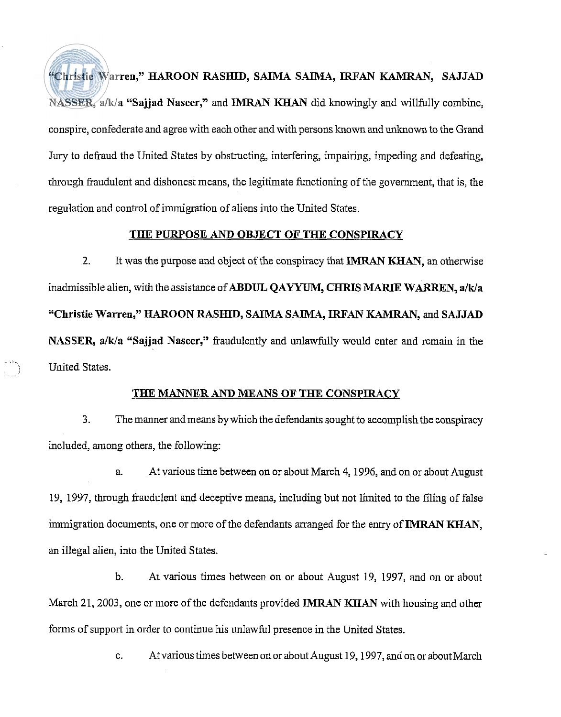**"Christie Warren," HAROON RASHID, SAIMA SAIMA, IRFAN KAMRAN, SAJJAD** NASSER, a/k/a "Sajjad Naseer," and **IMRAN KHAN** did knowingly and willfully combine, conspire, confederate and agree with each other and with persons known and unknown to the Grand Jury to defraud the United States by obstructing, interfering, impairing, impeding and defeating, through fraudulent and dishonest means, the legitimate functioning of the government, that is, the regulation and control of immigration of aliens into the United States.

### **THE PURPOSE AND OBJECT OF THE CONSPIRACY**

2. It was the purpose and object of the conspiracy that IMRAN KHAN, an otherwise inadmissible alien, with the assistance of **ABDUL QAYYUM, CHRIS MARIE WARREN**, a/k/a "Christie Warren," HAROON RASHID, SAIMA SAIMA, IRFAN KAMRAN, and SAJJAD **NASSER, a/k/a "Sajjad Naseer,"** fraudulently and unlawfidly would enter and remain in the United States.

### **TElE MANNER AND MEANS OF THE CONSPIRACY**

**3.** The manner and means by which the defendants sought to accomplish the conspiracy included, among others, the following:

a. At various time between on or about March 4,1996, and on or about August 19, 1997, through fraudulent and deceptive means, including but not limited to the filing of false immigration documents, one or more of the defendants arranged for the entry of IMRAN KHAN, an illegal alien, into the United States.

b. At various times between on or about August 19, 1997, and on or about March 21, 2003, one or more of the defendants provided **IMRAN KHAN** with housing and other forms of support in order to continue his unlawful presence in the United States.

c. At various times between on or about August 19, 1997, and on or about March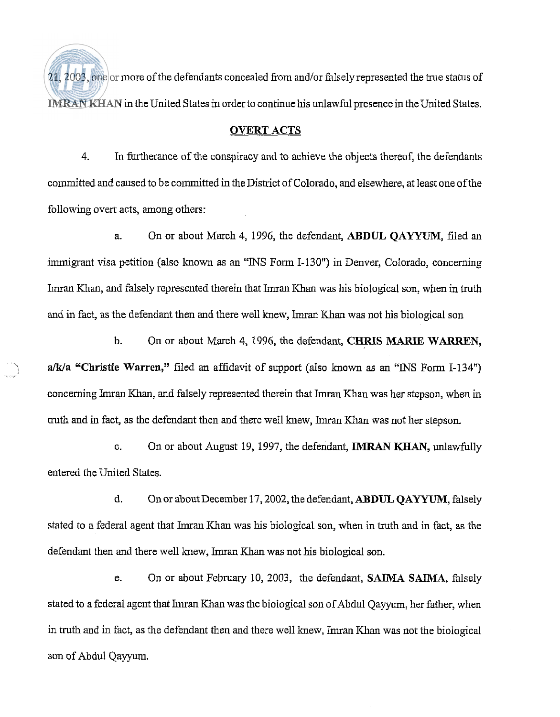$21,2003$ , one or more of the defendants concealed from and/or falsely represented the true status of **IMRAN KHAN** in the United States in order to continue his unlawful presence in the United States.

### **OVERT ACTS**

4. In furtherance of the conspiracy and to achieve the objects thereof, the defendants committed and caused to be committed in the District of Colorado, and elsewhere, at least one of the following overt acts, among others:

a. On or about March 4, 1996, the defendant, ABDUL QAYYUM, filed an immigrant visa petition (also known as an "INS Form 1-130") in Denver, Colorado, concerning Imran Khan, and falsely represented therein that Imran Khan was his biological son, when in truth and in fact, as the defendant then and there well hew, Imran Khan was not his biological son

b. On or about Mach 4, 1996, the defendant, CHRIS MARIE **WARREN,**  a/k/a "Christie Warren," filed an affidavit of support (also known as an "INS Form I-134") concerning Imran Khan, and falsely represented therein that Imran Khan was her stepson, when in truth and in fact, as the defendant then and there well knew, Imran Khan was not her stepson.

c. On or about August 19, 1997, the defendant, **IMRAN** KHAN, unlawfully entered the United States.

d. On or about December 17,2002, the defendant, ABDUL **QAYYUM,** falsely stated to a federal agent that Imran Khan was his biological son, when in tmth and in fact, as the defendant then and there well knew, Imran Khan was not his biological son.

e. On or about February 10, 2003, the defendant, **SAIMA SAIMA,** falsely stated to a federal agent that Imran Khan was the biological son of Abdul Qayyum, her father, when in truth and in fact, as the defendant then and there well knew, Imran Khan was not the biological son of Abdul Qayyum.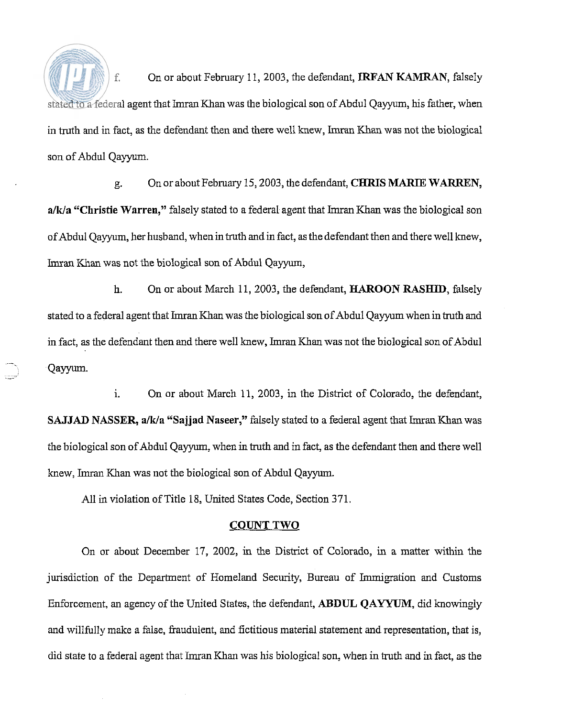f. On or about February 1 I, 2003, the defendant, IRFAN **KAMRAN,** falsely stated to a federal agent that Imran Khan was the biological son of Abdul Qayyum, his father, when in truth and in fact, as the defendant then and there well knew, Imran Khan was not the biological son of Abdul Qayyum.

g. On or about February 15,2003, the defendant, **CHRIS** MARIE **WARREN,**  a/k/a "Christie Warren," falsely stated to a federal agent that Imran Khan was the biological son of Abdul Qayyum, her husband, whenin truth andin fact, as the defendant then and there well knew, Imran Khan was not the biological son of Abdul Qayyum,

h. On or about March 11, 2003, the defendant, **HAROON RASHID,** falsely stated to a federal agent that Imran Khan was the biological son of Abdul Qayyum when in truth and in fact, as the defendant then and there well knew, Imran Khan was not the biological son of Abdul Qayyum.

**1.** On or about March 11, 2003, in the District of Colorado, the defendant, **SAJJAD NASSER, a/k/a "Sajjad Naseer,"** falsely stated to a federal agent that Imran Khan was the biological son of Abdul Qayyum, when in truth and in fact, as the defendant then and there well hew, Imran Khan was not the biological son of Abdul Qayyum.

All in violation of Title 18, United States Code, Section 371.

### **COUNT TWO**

On or about December 17, 2002, in the District of Colorado, in a matter within the jurisdiction of the Department of Homeland Security, Bureau of Immigration and Customs Enforcement, an agency of the United States, the defendant, **ABDUL QAYYUM**, did knowingly and willfidly make a false, fraudulent, and fictitious material statement and representation, that is, did state to a federal agent that Imran Khan was his biological son, when in truth and in fact, as the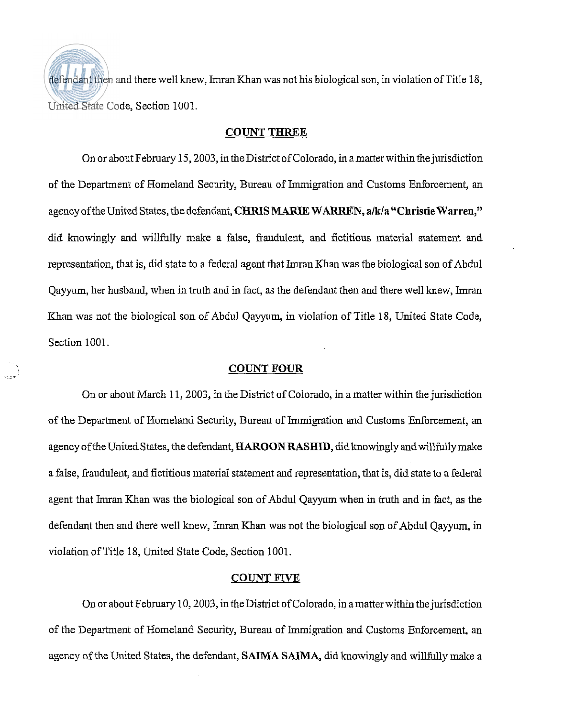defendant then and there well knew, Imran Khan was not his biological son, in violation of Title 18, United State Code, Section 1001.

### **COUNT THREE**

On or about February 15,2003, in the District of Colorado, in amatter within the jurisdiction of the Department of Homeland Security, Bureau of Immigration and Customs Enforcement, an agency of the United States, the defendant, **CHRIS MARIE WARREN, a/k/a "Christie Warren,"** did knowingly and willfully make a false, fraudulent, and fictitious material statement and representation, that is, did state to a federal agent that Imran Khan was the biological son of Abdul Qayyum, her husband, when in truth and in fact, as the defendant then and there well knew, Imran Khan was not the biological son of Abdul Qayyum, in violation of Title 18, United State Code, Section 1001.

### **COUNT FOUR**

On or about March 11,2003, in the District of Colorado, in a matter within the jurisdiction of the Department of Homeland Security, Bureau of Immigration and Customs Enforcement, an agency of the United States, the defendant, **HAROON RASHID,** didlmowingly and willfully make a false, ftaudulent, and fictitious material statement and representation, that is, did state to a federal agent that Imran Khan was the biological son of Abdul Qayyum when in truth and in fact, as the defendant then and there well knew, Imran Khan was not the biological son of Abdul Qayyurn, in violation of Title 18, United State Code, Section 1001.

### **COUNT** FIVE

On or about February 10,2003, in the District of Colorado, in amatterwithin thejurisdiction of the Department of Homeland Security, Bureau of Immigration and Customs Enforcement, an agency of the United States, the defendant, **SAIMA SAIMA,** didknowingly and willfully make a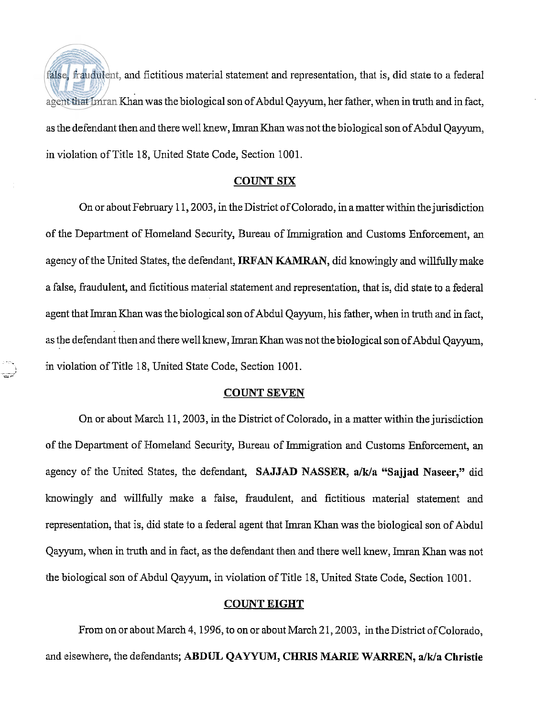false, fraudulent, and fictitious material statement and representation, that is, did state to a federal agent that Imran Khan was the biological son of Abdul Qayyum, her father, when in truth and in fact, as the defendant then and there well knew, Imran Khan was not the biological son of Abdul Qayyum, in violation of Title 18, United State Code, Section 1001.

### **COUNT SIX**

On or about February 11,2003, in the District of Colorado, in amatter within the jurisdiction of the Department of Homeland Security, Bureau of Immigration and Customs Enforcement, an agency of the United States, the defendant, **IRFAN KAMRAN**, did knowingly and willfully make a false, fiaudulent, and fictitious material statement and representation, that is, did state to a federal agent that Imran Khan was the biological son of Abdul Qayyurn, his father, when in truth and in fact, as the defendant then and there well knew, Imran Khan was not the biological son of Abdul Qayyum, in violation of Title 18, United State Code, Section 1001.

### **COUNT SEVEN**

On or about March 11,2003, in the District of Colorado, in a matter within the jurisdiction of the Department of Homeland Security, Bureau of Immigration and Customs Enforcement, an agency of the United States, the defendant, **SAJJAD NASSER**, a/k/a "Sajjad Naseer," did knowingly and willfully make a false, fraudulent, and fictitious material statement and representation, that is, did state to a federal agent that Imran Khan was the biological son of Abdul Qayyum, when in truth and in fact, as the defendant then and there well knew, Imran Khan was not the biological son of Abdul Qayyum, in violation of Title 18, United State Code, Section 1001.

### **COUNT EIGHT**

From on or about March 4,1996, to on or about March 21,2003, in the District of Colorado, and elsewhere, the defendants; ABDUL QAYYUM, CHRIS MARIE WARREN, a/k/a Christie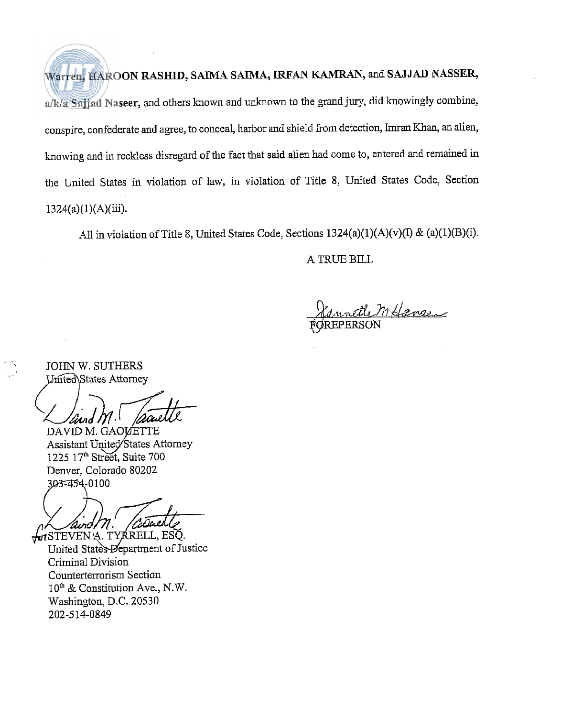Warren, HAROON RASHID, SAIMA SAIMA, **IRFAN KAMRAN,** and SAJJAD NASSER, a/k/a Sajjad Naseer, and others known and unknown to the grand jury, did knowingly combine, conspire, confederate and agree, to conceal, harbor and shield from detection, Imran Khan, an alien, knowing and in reckless disregard of the fact that said alien had come to, entered and remained in the United States in violation of law, in violation of Title 8, United States Code, Section  $1324(a)(1)(A)(iii)$ .

All in violation of Title 8, United States Code, Sections  $1324(a)(1)(A)(v)(I) \& (a)(1)(B)(i)$ .

A TRUE BILL

mfansen

JOHN W. SUTHERS United\States Attorney

and  ${\cal M}$ 

DAVID M. GAOVETTE Assistant United States Attorney 1225 17<sup>th</sup> Street, Suite 700 Denver, Colorado 80202 303-454-0100

クェッイ

in STEVEN A. TYRRELL, ESQ.<br>United States Department of Justice Criminal Division Counterterrorism Section 10" & Constitution Ave., N.W. Washington, D.C. 20530 202-514-0849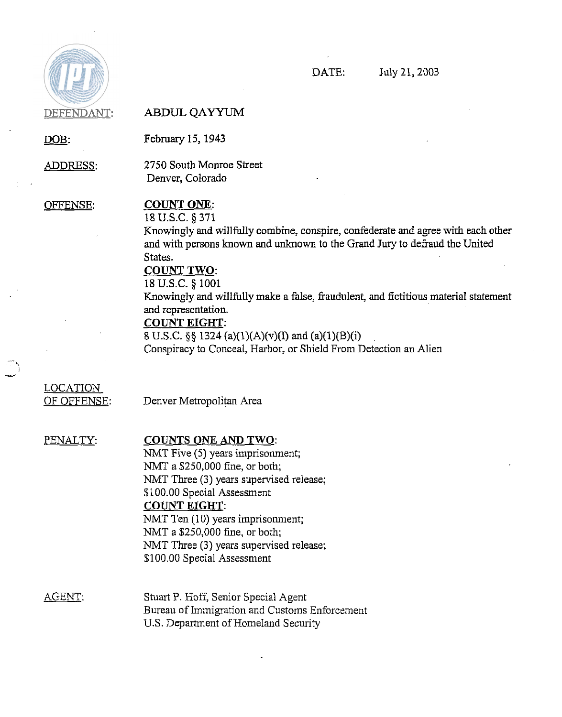

### DEFENDANT: **ABDUL QAYYUM**

DOB: February 15, 1943

ADDRESS: 2750 South Monroe Street

Denver, Colorado

### OFFENSE: COUNT ONE:

18 U.S.C. § 371 **Knowingly and willfully combine, conspire, confederate and agree with each other** and with persons known and unknown to the Grand Jury to defraud the United States.

### COUNT TWO:

18 U.S.C. *5* 1001

Knowingly and willfully make a false, fraudulent, and fictitious material statement and representation.

### COUNT EIGHT:

8 U.S.C.  $\S$ , 1324 (a)(1)(A)(v)(I) and (a)(1)(B)(i) Conspiracy to Conceal, Harbor, or Shield From Detection an Alien

## LOCATION

OF OFFENSE: Denver Metropolitan Area

### PENALTY: COUNTS ONE AND TWO:

NMT Five (5) years imprisonment; NMT a \$250,000 fine, or both; NMT Three (3) years supervised release; \$100.00 Special Assessment COUNT EIGHT: NMT Ten (10) years imprisonment; NMT a \$250,000 fine, or both; NMT Three (3) years supervised release; \$100.00 Special Assessment

AGENT: Stuart P. Hoff, Senior Special Agent Bureau of Immigration and Customs Enforcement US. Department of Homeland Security

DATE: July 21,2003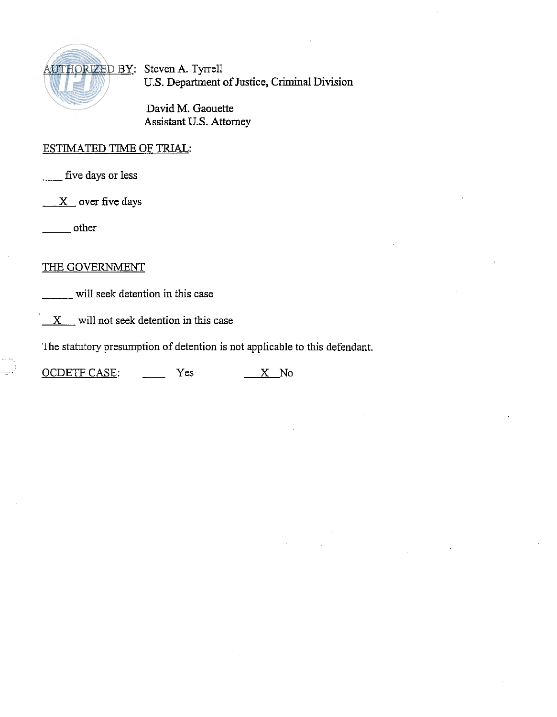

U.S. Department of Justice, Criminal Division

David M. Gaouette Assistant U.S. Attorney

## ESTIMATED TIME OF TRIAL: - five days or less

 $X$  over five days five days or less<br>
X over five days<br>
other

### THE GOVERNMENT

will seek detention in this case

**X** will not seek detention in this case

The statutory presumption of detention is not applicable to this defendant.

X will not seek detention in this case<br>The statutory presumption of detention is not applicable<br>OCDETF CASE: Yes <u>X</u> No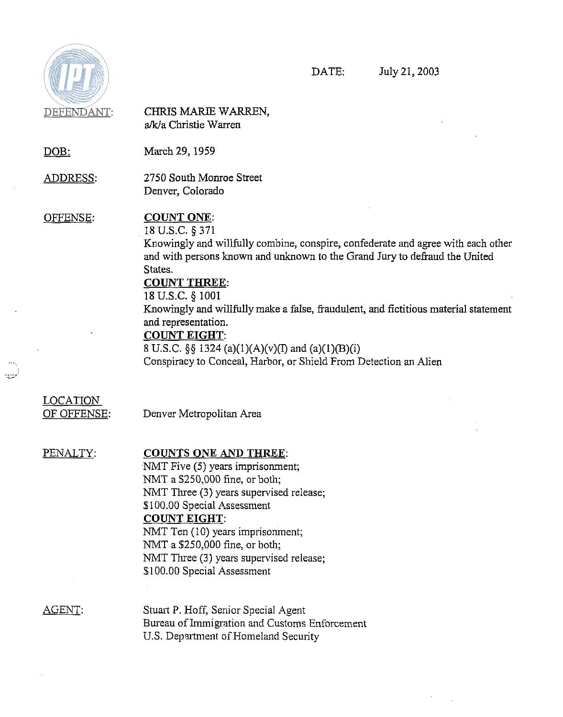

्<br>सम्

DATE: July 21,2003

 $\epsilon$  $\sim$ 

| DEFENDANT:                      | CHRIS MARIE WARREN,<br>a/k/a Christie Warren                                                                                                                                                                                                                                                                                                                                                                                                                                                                               |
|---------------------------------|----------------------------------------------------------------------------------------------------------------------------------------------------------------------------------------------------------------------------------------------------------------------------------------------------------------------------------------------------------------------------------------------------------------------------------------------------------------------------------------------------------------------------|
| <u>DOB:</u>                     | March 29, 1959                                                                                                                                                                                                                                                                                                                                                                                                                                                                                                             |
| <u>ADDRESS:</u>                 | 2750 South Monroe Street<br>Denver, Colorado                                                                                                                                                                                                                                                                                                                                                                                                                                                                               |
| OFFENSE.                        | <b>COUNT ONE:</b><br>18 U.S.C. § 371<br>Knowingly and willfully combine, conspire, confederate and agree with each other<br>and with persons known and unknown to the Grand Jury to defraud the United<br>States.<br><b>COUNT THREE:</b><br>18 U.S.C. § 1001<br>Knowingly and willfully make a false, fraudulent, and fictitious material statement<br>and representation.<br><b>COUNT EIGHT:</b><br>8 U.S.C. §§ 1324 (a)(1)(A)(v)(I) and (a)(1)(B)(i)<br>Conspiracy to Conceal, Harbor, or Shield From Detection an Alien |
| LOCATION.<br><u>OF OFFENSE:</u> | Denver Metropolitan Area                                                                                                                                                                                                                                                                                                                                                                                                                                                                                                   |
| PENALTY:                        | <b>COUNTS ONE AND THREE:</b><br>NMT Five (5) years imprisonment;<br>NMT a \$250,000 fine, or both;<br>NMT Three (3) years supervised release;<br>\$100.00 Special Assessment<br><b>COUNT EIGHT:</b><br>NMT Ten (10) years imprisonment;<br>NMT a \$250,000 fine, or both;<br>NMT Three (3) years supervised release;<br>\$100.00 Special Assessment                                                                                                                                                                        |
| AGENT:                          | Stuart P. Hoff, Senior Special Agent<br>Bureau of Immigration and Customs Enforcement<br>U.S. Department of Homeland Security                                                                                                                                                                                                                                                                                                                                                                                              |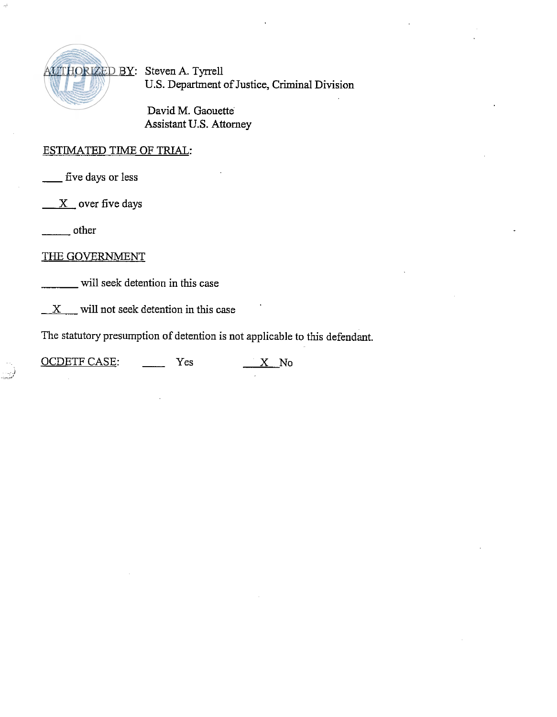

U.S. Department of Justice, Criminal Division

David M. Gaouette' Assistant U.S. Attorney

# ESTIMATED TIME OF TRIAL: ESTIMATED TIME

over five days  $-$  five days<br> $\frac{X}{x}$  over f<br> $\frac{X}{x}$  other

.<br>D

### THE GOVERNMENT

will seek detention in this case

*X* will not seek detention in this case

The statutory presumption of detention is not applicable to this defendant. X will not seek detention in this case<br>The statutory presumption of detention is not applicable<br>OCDETF CASE: Yes X No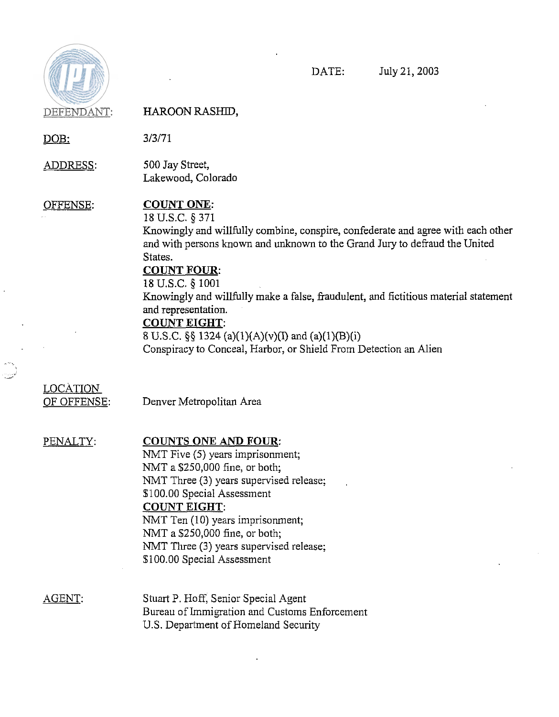

DOB:

DATE: July 21,2003

ADDRESS: 500 Jay Street, Lakewood, Colorado OFFENSE: COUNT ONE: 18 U.S.C. *5* 371 Knowingly and willfully combine, conspire, confederate and agree with each other and with persons known and unknown to the Grand Jury to defraud the United COUNT POUR: 18 U.S.C. **5** 1001

> Knowingly and willfully make a false, fraudulent, and fictitious material statement and representation.

### COUNT EIGHT:

States.

 $3/3/71$ 

**8** U.S.C. *\$6* 1324 (a)(l)(A)(v)(I) and (a)(l)(B)(i) Conspiracy to Conceal, Harbor, or Shield From Detection an Alien

## LOCATION

OF OFFENSE: Denver Metropolitan Area

### PENALTY: COUNTS ONE AND FOUR:

NMT Five (5) years imprisonment; NMT a \$250,000 fine, or both; NMT Three (3) years supervised release; \$100.00 Special Assessment COUNT EIGHT: NMT Ten (10) years imprisonment; NMT a \$250,000 fine, or both; NMT Three (3) years supervised release; \$100.00 Special Assessment

AGENT: Stuart P. Hoff, Senior Special Agent Bureau of Immigration and Customs Enforcement U.S. Department of Homeland Security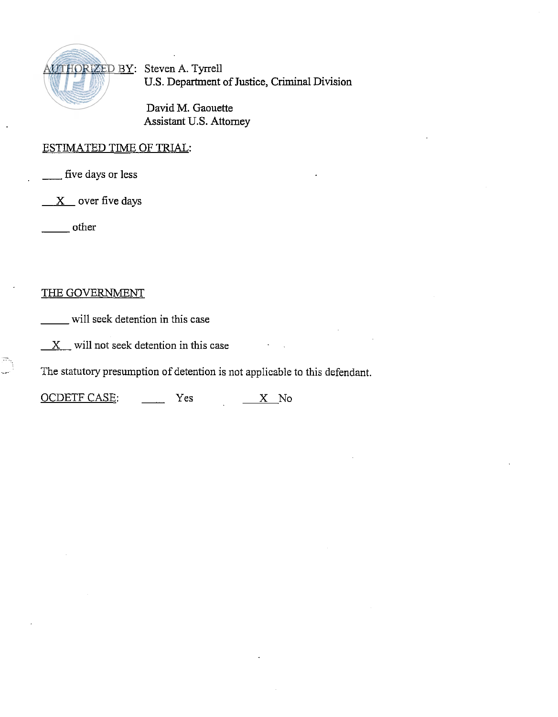

**US.** Department of **Justice,** Criminal Division

David M. Gaouette Assistant **US.** Attorney

## <u>ESTIMATED TIME OF TRIAL:</u> ESTIMATED TIME (<br>\_\_\_\_\_ five days or less

 $X$  over five days - other

### THE GOVERNMENT

will seek detention in this case

 $X$  will not seek detention in this case

 $\mathbb{R}^{\mathbb{N}}$  The statutory presumption of detention is not applicable to this defendant. X will not seek detention in this case<br>The statutory presumption of detention is not applicable<br>OCDETF CASE: Yes <u>X</u> No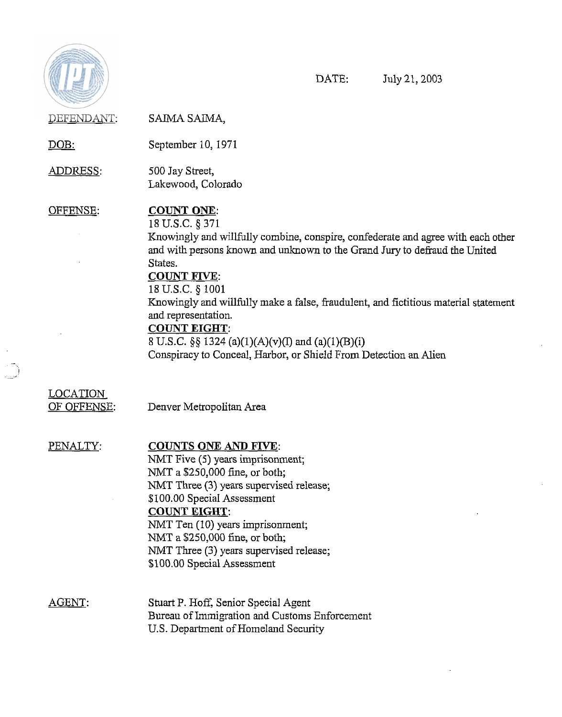

 $\ddot{\phantom{1}}$ 

J.

DATE: July 21,2003

 $\bar{\mathcal{A}}$ 

| C. Bollan School Herena |                                                                                                                                                                                                                                                                                                                                                                                                                                                                                                                           |
|-------------------------|---------------------------------------------------------------------------------------------------------------------------------------------------------------------------------------------------------------------------------------------------------------------------------------------------------------------------------------------------------------------------------------------------------------------------------------------------------------------------------------------------------------------------|
| DEFENDANT:              | SAIMA SAIMA,                                                                                                                                                                                                                                                                                                                                                                                                                                                                                                              |
| <u>DOB:</u>             | September 10, 1971                                                                                                                                                                                                                                                                                                                                                                                                                                                                                                        |
| <u>ADDRESS:</u>         | 500 Jay Street,<br>Lakewood, Colorado                                                                                                                                                                                                                                                                                                                                                                                                                                                                                     |
| OFFENSE:                | <b>COUNT ONE:</b><br>18 U.S.C. § 371<br>Knowingly and willfully combine, conspire, confederate and agree with each other<br>and with persons known and unknown to the Grand Jury to defraud the United<br>States.<br><b>COUNT FIVE:</b><br>18 U.S.C. § 1001<br>Knowingly and willfully make a false, fraudulent, and fictitious material statement<br>and representation.<br><b>COUNT EIGHT:</b><br>8 U.S.C. §§ 1324 (a)(1)(A)(v)(I) and (a)(1)(B)(i)<br>Conspiracy to Conceal, Harbor, or Shield From Detection an Alien |
| LOCATION<br>OF OFFENSE: | Denver Metropolitan Area                                                                                                                                                                                                                                                                                                                                                                                                                                                                                                  |
| PENALTY:                | <b>COUNTS ONE AND FIVE:</b><br>NMT Five (5) years imprisonment;<br>NMT a \$250,000 fine, or both;<br>NMT Three (3) years supervised release;<br>\$100.00 Special Assessment<br><u>COUNT EIGHT:</u><br>NMT Ten (10) years imprisonment;<br>NMT a \$250,000 fine, or both;<br>NMT Three (3) years supervised release;<br>\$100.00 Special Assessment                                                                                                                                                                        |
| AGENT:                  | Stuart P. Hoff, Senior Special Agent<br>Bureau of Immigration and Customs Enforcement<br>U.S. Department of Homeland Security                                                                                                                                                                                                                                                                                                                                                                                             |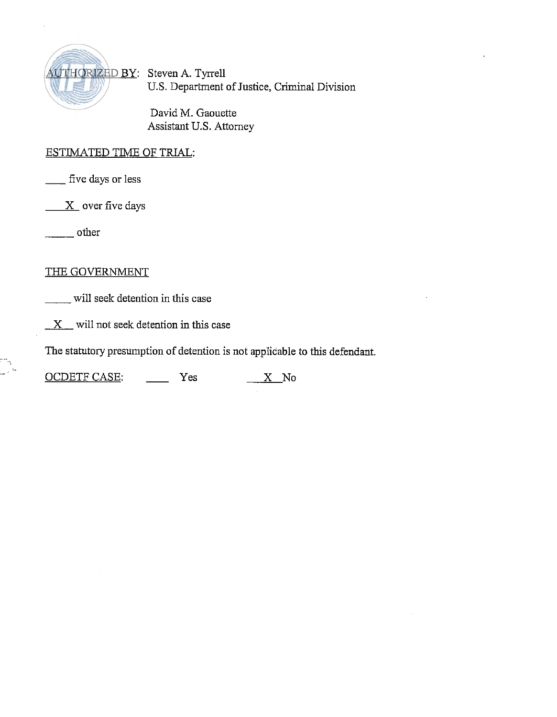

U.S. Department of Justice, Criminal Division

David M. Gaouette Assistant U.S. Attorney

## ESTIMATED TIME OF TRIAL: - five days or less

five days or less<br>
X over five days<br>
Note that

 $X$  over five days

### THE GOVERNMENT

will seek detention in this case

 $X$  will not seek detention in this case

The statutory presumption of detention is not applicable to this defendant.

 $\frac{X}{Y}$  will not seek detention in this case<br>The statutory presumption of detention is not applicable<br>OCDETF CASE:  $\frac{X}{Y}$  No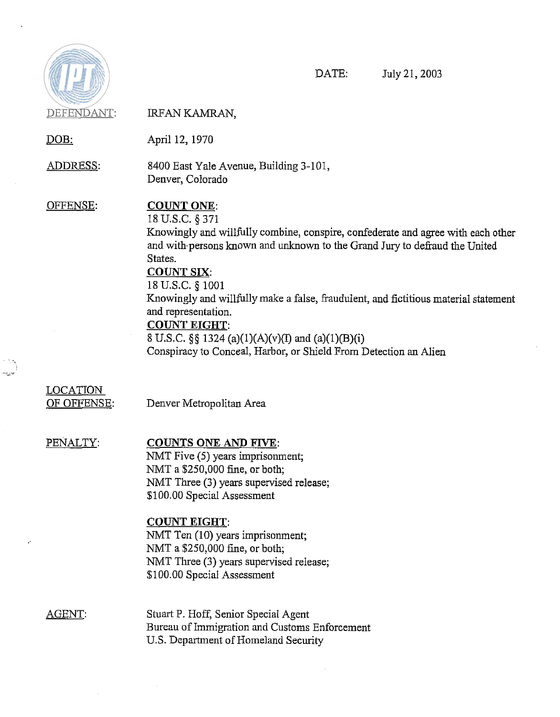

 $\epsilon$ 

 $\bar{\mathcal{A}}$ 

DATE: July 21,2003

| C. C. Controller Herman<br>DEFENDANT: | IRFAN KAMRAN,                                                                                                                                                                                                                                                                                                                                                                                                                                                                                                            |
|---------------------------------------|--------------------------------------------------------------------------------------------------------------------------------------------------------------------------------------------------------------------------------------------------------------------------------------------------------------------------------------------------------------------------------------------------------------------------------------------------------------------------------------------------------------------------|
| <u>DOB:</u>                           | April 12, 1970                                                                                                                                                                                                                                                                                                                                                                                                                                                                                                           |
| <u>ADDRESS:</u>                       | 8400 East Yale Avenue, Building 3-101,<br>Denver, Colorado                                                                                                                                                                                                                                                                                                                                                                                                                                                               |
| OFFENSE:                              | <b>COUNT ONE:</b><br>18 U.S.C. § 371<br>Knowingly and willfully combine, conspire, confederate and agree with each other<br>and with persons known and unknown to the Grand Jury to defraud the United<br>States.<br><b>COUNT SIX:</b><br>18 U.S.C. § 1001<br>Knowingly and willfully make a false, fraudulent, and fictitious material statement<br>and representation.<br><b>COUNT EIGHT:</b><br>8 U.S.C. §§ 1324 (a)(1)(A)(v)(I) and (a)(1)(B)(i)<br>Conspiracy to Conceal, Harbor, or Shield From Detection an Alien |
| <b>LOCATION</b><br>OF OFFENSE:        | Denver Metropolitan Area                                                                                                                                                                                                                                                                                                                                                                                                                                                                                                 |
| PENALTY:                              | <b>COUNTS ONE AND FIVE:</b><br>NMT Five (5) years imprisonment;<br>NMT a \$250,000 fine, or both;<br>NMT Three (3) years supervised release;<br>\$100.00 Special Assessment<br><b>COUNT EIGHT:</b><br>NMT Ten (10) years imprisonment;<br>NMT a \$250,000 fine, or both;<br>NMT Three (3) years supervised release;<br>\$100.00 Special Assessment                                                                                                                                                                       |
| AGENT:                                | Stuart P. Hoff, Senior Special Agent                                                                                                                                                                                                                                                                                                                                                                                                                                                                                     |

Bureau of Immigration and Customs Enforcement U.S. Department of Homeland Security

 $\bar{z}$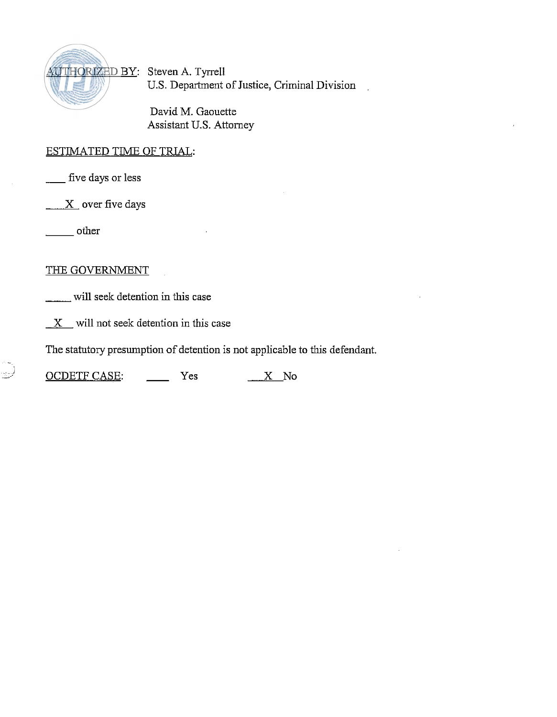

US. Department of Justice, Criminal Division

David M. Gaouette Assistant U.S. Attorney

### ESTIMATED TIME OF TRIAL:

- five days or less

ESTINIATED TIME<br>
- five days or less<br>
- X over five days<br>
- other

### THE GOVERNMENT

will seek detention in this case

 $X$  will not seek detention in this case

The statutory presumption of detention is not applicable to this defendant.

 $\underline{X}$  will not seek detention in this case<br>The statutory presumption of detention is not applicable<br> $\underline{OCDETF CASE:}$  Yes  $\underline{X}$  No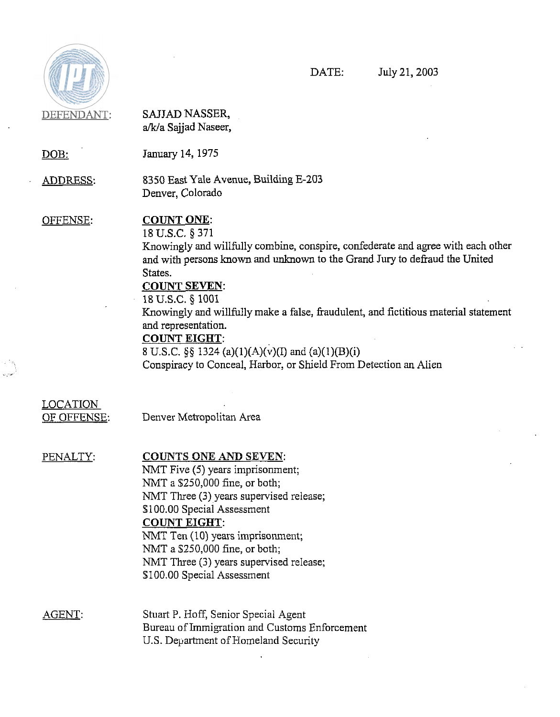

DATE: July 21,2003

DEFENDANT: SAJJAD NASSER, a/k/a Sajjad Naseer, DOB: January 14,1975 ADDRESS: 8350 East Yale Avenue, Building E-203 Denver, Colorado OFFENSE: COUNT ONE: 18 U.S.C. *5* 371 Knowingly and willfully combine, conspire, confederate and agree with each other and with persons known and unlmown to the Grand Jury to defraud the United States. COUNT SEVEN: 18 U.S.C. § 1001 Knowingly and willfully make a false, fraudulent, and fictitious material statement and representation. COUNT EIGHT: 8 U.S.C.  $\S\S$  1324 (a)(1)(A)(v)(I) and (a)(1)(B)(i) Conspiracy to Conceal, Harbor, or Shield From Detection an Alien LOCATION OF OFFENSE: Denver Metropolitan Area PENALTY: COUNTS ONE AND SEVEN: NMT Five (5) years imprisonment; NMT a \$250,000 fine, or both; NMT Three (3) years supervised release; \$100.00 Special Assessment

COUNT EIGHT:

NMT Ten (10) years imprisonment; NMT a \$250,000 fine, or both; NMT Three (3) years supervised release; \$100.00 Special Assessment

AGENT: Stuart P. Hoff, Senior Special Agent Bureau of Immigration and Customs Enforcement U.S. Department of Homeland Security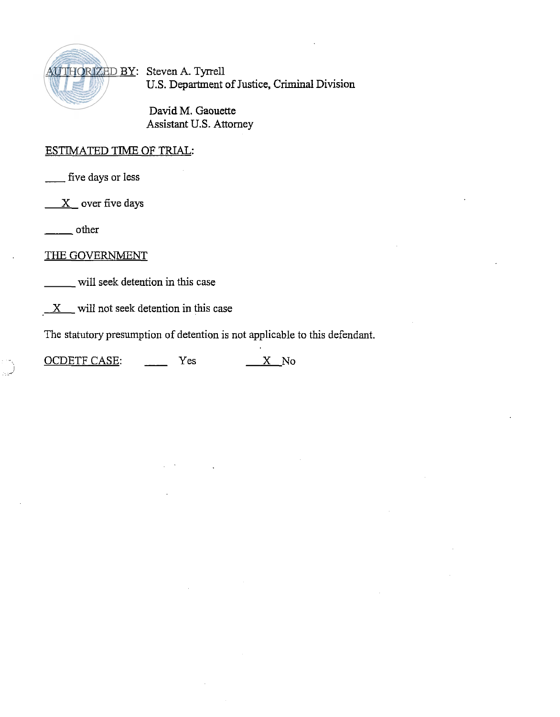

U.S. Department of Justice, **Criminal** Division

David M. Gaouette Assistant U.S. Attorney

# ESTIMATED TIME OF TRIAL: ESTIMATED TIME

 $X$  over five days five days or less<br>
<u>X</u> over five days<br>
<u>Cover</u> other

THE **GOVERNMENT** 

will seek detention in this case

 $X$  will not seek detention in this case

The statutory presumption of detention is not applicable to this defendant.

 $\frac{X}{Y}$  will not seek detention in this case<br>The statutory presumption of detention is not applicable<br>OCDETF CASE:  $\frac{X}{Y}$  No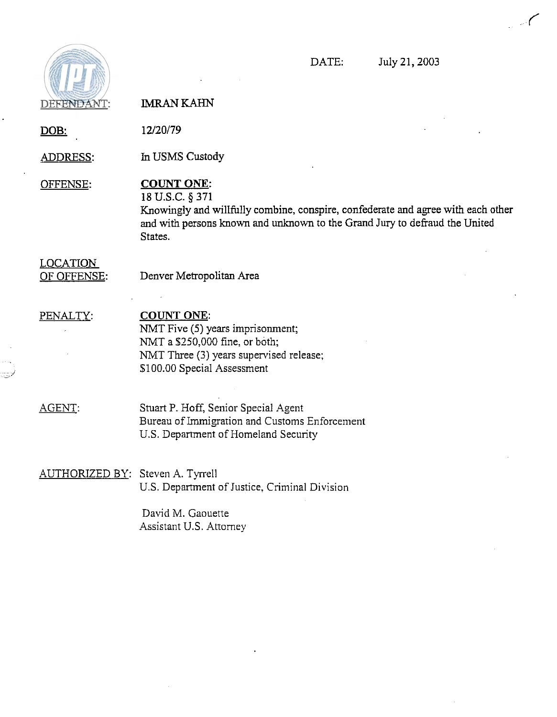

DATE: July 21,2003

 $\sim$  (

DEFENDANT: **IMRAN KAHN** DOB: 12/20/79 ADDRESS: In USMS Custody OFFENSE: **COUNT ONE: 18** U.S.C. *5* 371 Knowingly and willfully combine, conspire, confederate and agree with each other and with persons known and unknown to the Grand Jury to defraud the United States. LOCATION OF OFFENSE: Denver Metropolitan Area PENALTY: **COUNT ONE:**  NMT Five (5) years imprisonment; NMT a \$250,000 fine, or both; NMT Three **(3)** years supervised release; \$100.00 Special Assessment AGENT: Stuart P. Hoff, Senior Special Agent Bureau of Immigration and Customs Enforcement U.S. Department of Homeland Security AUTHORIZED BY: Steven A. Tyrrell US. Department of Justice, Criminal Division David M. Gaouette Assistant U.S. Attorney